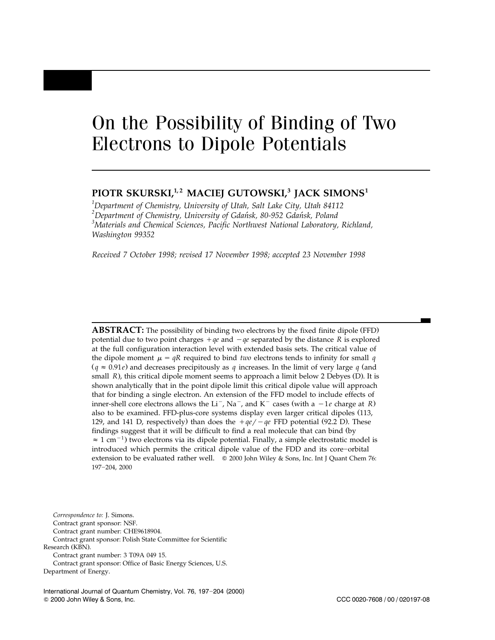# On the Possibility of Binding of Two Electrons to Dipole Potentials

# PIOTR SKURSKI,<sup>1,2</sup> MACIEI GUTOWSKI,<sup>3</sup> IACK SIMONS<sup>1</sup>

*1 Department of Chemistry, University of Utah, Salt Lake City, Utah 84112* <sup>2</sup> Department of Chemistry, University of Gdańsk, 80-952 Gdańsk, Poland<br><sup>3</sup>Materials and Chemisel Sciences, Besific Northwest National Laboratory *Materials and Chemical Sciences, Pacific Northwest National Laboratory, Richland, Washington 99352*

*Received 7 October 1998; revised 17 November 1998; accepted 23 November 1998*

**ABSTRACT:** The possibility of binding two electrons by the fixed finite dipole (FFD) potential due to two point charges  $+qe$  and  $-qe$  separated by the distance *R* is explored at the full configuration interaction level with extended basis sets. The critical value of the dipole moment  $\mu = qR$  required to bind *two* electrons tends to infinity for small *q*  $(q \approx 0.91e)$  and decreases precipitously as *q* increases. In the limit of very large *q* (and small *R*), this critical dipole moment seems to approach a limit below 2 Debyes (D). It is shown analytically that in the point dipole limit this critical dipole value will approach that for binding a single electron. An extension of the FFD model to include effects of inner-shell core electrons allows the Li<sup>-</sup>, Na<sup>-</sup>, and K<sup>-</sup> cases (with a  $-1e$  charge at *R*) also to be examined. FFD-plus-core systems display even larger critical dipoles (113, 129, and 141 D, respectively) than does the  $+qe/-qe$  FFD potential (92.2 D). These findings suggest that it will be difficult to find a real molecule that can bind (by)  $\approx 1$  cm<sup>-1</sup>) two electrons via its dipole potential. Finally, a simple electrostatic model is introduced which permits the critical dipole value of the FDD and its core-orbital extension to be evaluated rather well.  $\circ$  2000 John Wiley & Sons, Inc. Int J Quant Chem 76: 197-204, 2000

*Correspondence to:* J. Simons. Contract grant sponsor: NSF. Contract grant number: CHE9618904. Contract grant sponsor: Polish State Committee for Scientific Research (KBN). Contract grant number: 3 T09A 049 15. Contract grant sponsor: Office of Basic Energy Sciences, U.S. Department of Energy.

International Journal of Quantum Chemistry, Vol. 76, 197-204 (2000)

Q 2000 John Wiley & Sons, Inc. CCC 0020-7608 / 00 / 020197-08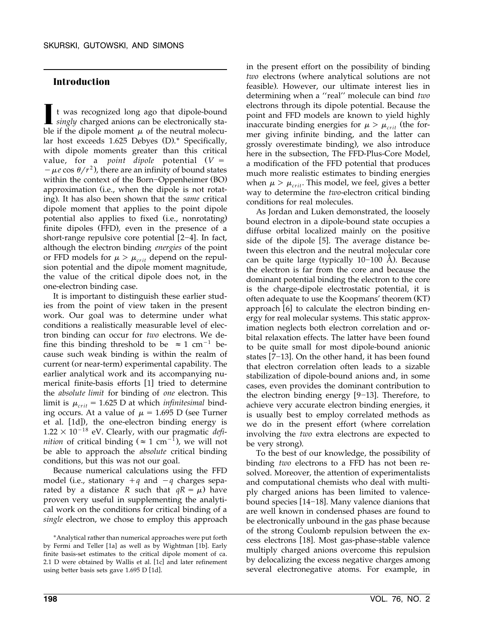# **Introduction**

t was recognized long ago that dipole-bound **I** *singly* charged anions can be electronically stable if the dipole moment  $\mu$  of the neutral molecular host exceeds  $1.625$  Debyes  $(D)$ .\* Specifically, with dipole moments greater than this critical value, for a *point dipole* potential  $(V =$  $-\mu e \cos \theta/r^2$ , there are an infinity of bound states within the context of the Born-Oppenheimer (BO) approximation (i.e., when the dipole is not rotating). It has also been shown that the *same* critical dipole moment that applies to the point dipole potential also applies to fixed (i.e., nonrotating) finite dipoles (FFD), even in the presence of a short-range repulsive core potential  $[2-4]$ . In fact, although the electron binding *energies* of the point or FFD models for  $\mu > \mu_{crit}$  depend on the repulsion potential and the dipole moment magnitude, the value of the critical dipole does not, in the one-electron binding case.

It is important to distinguish these earlier studies from the point of view taken in the present work. Our goal was to determine under what conditions a realistically measurable level of electron binding can occur for *two* electrons. We define this binding threshold to be  $\approx 1$  cm<sup>-1</sup> because such weak binding is within the realm of current (or near-term) experimental capability. The earlier analytical work and its accompanying numerical finite-basis efforts [1] tried to determine the *absolute limit* for binding of *one* electron. This limit is  $\mu_{crit} = 1.625$  D at which *infinitesimal* binding occurs. At a value of  $\mu$  = 1.695 D (see Turner et al. [1d]), the one-electron binding energy is  $1.22 \times 10^{-18}$  eV. Clearly, with our pragmatic *definition* of critical binding ( $\approx 1$  cm<sup>-1</sup>), we will not be able to approach the *absolute* critical binding conditions, but this was not our goal.

Because numerical calculations using the FFD model (i.e., stationary  $+q$  and  $-q$  charges separated by a distance *R* such that  $qR = \mu$ ) have proven very useful in supplementing the analytical work on the conditions for critical binding of a *single* electron, we chose to employ this approach in the present effort on the possibility of binding *two* electrons (where analytical solutions are not feasible). However, our ultimate interest lies in determining when a ''real'' molecule can bind *two* electrons through its dipole potential. Because the point and FFD models are known to yield highly inaccurate binding energies for  $\mu > \mu_{crit}$  (the former giving infinite binding, and the latter can grossly overestimate binding), we also introduce here in the subsection, The FFD-Plus-Core Model, a modification of the FFD potential that produces much more realistic estimates to binding energies when  $\mu > \mu_{crit}$ . This model, we feel, gives a better way to determine the *two*-electron critical binding conditions for real molecules.

As Jordan and Luken demonstrated, the loosely bound electron in a dipole-bound state occupies a diffuse orbital localized mainly on the positive side of the dipole [5]. The average distance between this electron and the neutral molecular core can be quite large (typically  $10-100$  Å). Because the electron is far from the core and because the dominant potential binding the electron to the core is the charge-dipole electrostatic potential, it is often adequate to use the Koopmans' theorem (KT) approach [6] to calculate the electron binding energy for real molecular systems. This static approximation neglects both electron correlation and orbital relaxation effects. The latter have been found to be quite small for most dipole-bound anionic states  $[7-13]$ . On the other hand, it has been found that electron correlation often leads to a sizable stabilization of dipole-bound anions and, in some cases, even provides the dominant contribution to the electron binding energy  $[9-13]$ . Therefore, to achieve very accurate electron binding energies, it is usually best to employ correlated methods as we do in the present effort (where correlation involving the *two* extra electrons are expected to be very strong).

To the best of our knowledge, the possibility of binding *two* electrons to a FFD has not been resolved. Moreover, the attention of experimentalists and computational chemists who deal with multiply charged anions has been limited to valencebound species  $[14-18]$ . Many valence dianions that are well known in condensed phases are found to be electronically unbound in the gas phase because of the strong Coulomb repulsion between the excess electrons [18]. Most gas-phase-stable valence multiply charged anions overcome this repulsion by delocalizing the excess negative charges among several electronegative atoms. For example, in

<sup>\*</sup>Analytical rather than numerical approaches were put forth by Fermi and Teller [1a] as well as by Wightman [1b]. Early finite basis-set estimates to the critical dipole moment of ca.  $2.1$  D were obtained by Wallis et al.  $[1c]$  and later refinement using better basis sets gave 1.695 D [1d].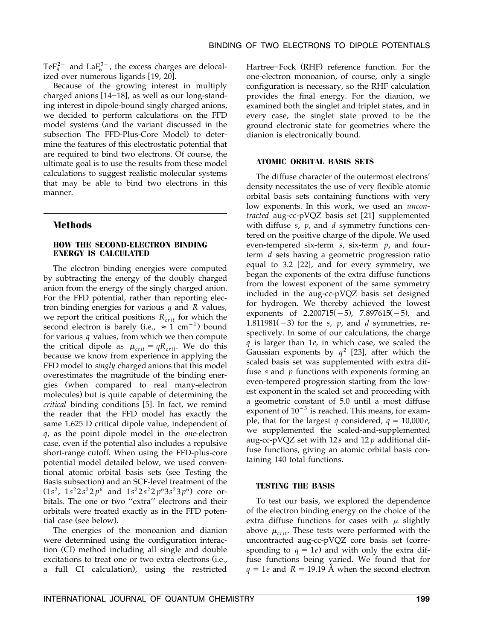TeF<sub>8</sub><sup>2-</sup> and LaF<sub>6</sub><sup>3-</sup>, the excess charges are delocalized over numerous ligands [19, 20].

Because of the growing interest in multiply charged anions  $[14-18]$ , as well as our long-standing interest in dipole-bound singly charged anions, we decided to perform calculations on the FFD model systems (and the variant discussed in the subsection The FFD-Plus-Core Model) to determine the features of this electrostatic potential that are required to bind two electrons. Of course, the ultimate goal is to use the results from these model calculations to suggest realistic molecular systems that may be able to bind two electrons in this manner.

### **Methods**

#### **HOW THE SECOND-ELECTRON BINDING ENERGY IS CALCULATED**

The electron binding energies were computed by subtracting the energy of the doubly charged anion from the energy of the singly charged anion. For the FFD potential, rather than reporting electron binding energies for various *q* and *R* values, we report the critical positions  $R_{crit}$  for which the second electron is barely (i.e.,  $\approx 1 \text{ cm}^{-1}$ ) bound for various *q* values, from which we then compute the critical dipole as  $\mu_{crit} = qR_{crit}$ . We do this because we know from experience in applying the FFD model to *singly* charged anions that this model overestimates the magnitude of the binding energies (when compared to real many-electron molecules) but is quite capable of determining the *critical* binding conditions [5]. In fact, we remind the reader that the FFD model has exactly the same 1.625 D critical dipole value, independent of *q*, as the point dipole model in the *one*-electron case, even if the potential also includes a repulsive short-range cutoff. When using the FFD-plus-core potential model detailed below, we used conventional atomic orbital basis sets (see Testing the Basis subsection) and an SCF-level treatment of the  $(1s<sup>2</sup>, 1s<sup>2</sup>2s<sup>2</sup>2p<sup>6</sup>$  and  $1s<sup>2</sup>2s<sup>2</sup>2p<sup>6</sup>3s<sup>2</sup>3p<sup>6</sup>)$  core orbitals. The one or two ''extra'' electrons and their orbitals were treated exactly as in the FFD potential case (see below).

The energies of the monoanion and dianion were determined using the configuration interaction (CI) method including all single and double excitations to treat one or two extra electrons (i.e., a full CI calculation), using the restricted

Hartree-Fock (RHF) reference function. For the one-electron monoanion, of course, only a single configuration is necessary, so the RHF calculation provides the final energy. For the dianion, we examined both the singlet and triplet states, and in every case, the singlet state proved to be the ground electronic state for geometries where the dianion is electronically bound.

#### **ATOMIC ORBITAL BASIS SETS**

The diffuse character of the outermost electrons' density necessitates the use of very flexible atomic orbital basis sets containing functions with very low exponents. In this work, we used an *uncontracted* aug-cc-pVQZ basis set [21] supplemented with diffuse *s*, *p*, and *d* symmetry functions centered on the positive charge of the dipole. We used even-tempered six-term *s*, six-term *p*, and fourterm *d* sets having a geometric progression ratio equal to 3.2  $[22]$ , and for every symmetry, we began the exponents of the extra diffuse functions from the lowest exponent of the same symmetry included in the aug-cc-pVQZ basis set designed for hydrogen. We thereby achieved the lowest exponents of  $2.200715(-5)$ ,  $7.897615(-5)$ , and 1.811981( $-3$ ) for the *s*, *p*, and *d* symmetries, respectively. In some of our calculations, the charge *q* is larger than 1*e*, in which case, we scaled the Gaussian exponents by  $q^2$  [23], after which the scaled basis set was supplemented with extra diffuse *s* and *p* functions with exponents forming an even-tempered progression starting from the lowest exponent in the scaled set and proceeding with a geometric constant of 5.0 until a most diffuse exponent of  $10^{-5}$  is reached. This means, for example, that for the largest *q* considered,  $q = 10,000e$ , we supplemented the scaled-and-supplemented aug-cc-pVQZ set with 12 *s* and 12 *p* additional diffuse functions, giving an atomic orbital basis containing 140 total functions.

#### **TESTING THE BASIS**

To test our basis, we explored the dependence of the electron binding energy on the choice of the extra diffuse functions for cases with  $\mu$  slightly above  $\mu_{crit}$ . These tests were performed with the uncontracted aug-cc-pVQZ core basis set (corresponding to  $q = 1e$ ) and with only the extra diffuse functions being varied. We found that for  $q = 1e$  and  $R = 19.19$  Å when the second electron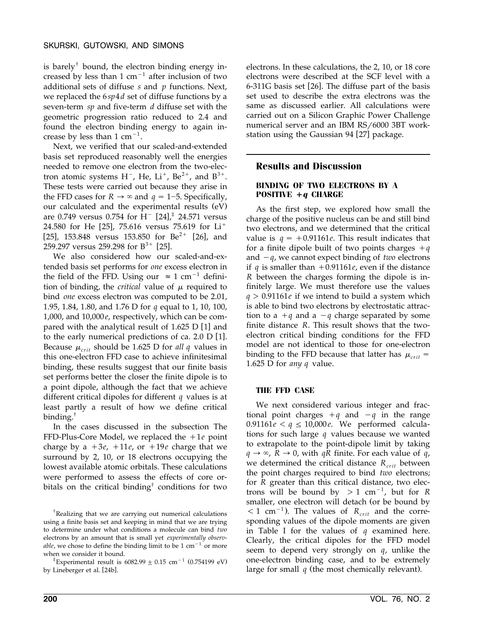is barely<sup>†</sup> bound, the electron binding energy increased by less than 1  $cm^{-1}$  after inclusion of two additional sets of diffuse *s* and *p* functions. Next, we replaced the 6*sp*4*d* set of diffuse functions by a seven-term *sp* and five-term *d* diffuse set with the geometric progression ratio reduced to 2.4 and found the electron binding energy to again increase by less than  $1 \text{ cm}^{-1}$ .

Next, we verified that our scaled-and-extended basis set reproduced reasonably well the energies needed to remove one electron from the two-electron atomic systems  $H^-$ , He, Li<sup>+</sup>, Be<sup>2+</sup>, and B<sup>3+</sup>. These tests were carried out because they arise in the FFD cases for  $R \rightarrow \infty$  and  $q = 1-5$ . Specifically, our calculated and the experimental results (eV) are 0.749 versus 0.754 for  $H^{-}$  [24],<sup>‡</sup> 24.571 versus 24.580 for He [25], 75.616 versus 75.619 for  $Li^+$ [25], 153.848 versus 153.850 for Be<sup>2+</sup> [26], and 259.297 versus 259.298 for  $B^{3+}$  [25].

We also considered how our scaled-and-extended basis set performs for *one* excess electron in the field of the FFD. Using our  $\approx 1$  cm<sup>-1</sup> definition of binding, the *critical* value of  $\mu$  required to bind *one* excess electron was computed to be 2.01, 1.95, 1.84, 1.80, and 1.76 D for *q* equal to 1, 10, 100, 1,000, and 10,000*e*, respectively, which can be compared with the analytical result of  $1.625$  D [1] and to the early numerical predictions of ca.  $2.0$  D  $[1]$ . Because  $\mu_{crit}$  should be 1.625 D for *all q* values in this one-electron FFD case to achieve infinitesimal binding, these results suggest that our finite basis set performs better the closer the finite dipole is to a point dipole, although the fact that we achieve different critical dipoles for different *q* values is at least partly a result of how we define critical binding. †

In the cases discussed in the subsection The FFD-Plus-Core Model, we replaced the  $+1e$  point charge by a  $+3e$ ,  $+11e$ , or  $+19e$  charge that we surround by 2, 10, or 18 electrons occupying the lowest available atomic orbitals. These calculations were performed to assess the effects of core orbitals on the critical binding† conditions for two

electrons. In these calculations, the 2, 10, or 18 core electrons were described at the SCF level with a  $6-311G$  basis set [26]. The diffuse part of the basis set used to describe the extra electrons was the same as discussed earlier. All calculations were carried out on a Silicon Graphic Power Challenge numerical server and an IBM RS/6000 3BT workstation using the Gaussian 94 [27] package.

# **Results and Discussion**

#### **BINDING OF TWO ELECTRONS BY A POSITIVE +<sup>q</sup> CHARGE**

As the first step, we explored how small the charge of the positive nucleus can be and still bind two electrons, and we determined that the critical value is  $q = +0.91161e$ . This result indicates that for a finite dipole built of two points charges  $+q$ and  $-q$ , we cannot expect binding of *two* electrons if *q* is smaller than  $+0.91161e$ , even if the distance *R* between the charges forming the dipole is infinitely large. We must therefore use the values *q* ) 0.91161*e* if we intend to build a system which is able to bind two electrons by electrostatic attraction to a  $+q$  and a  $-q$  charge separated by some finite distance *R*. This result shows that the twoelectron critical binding conditions for the FFD model are not identical to those for one-electron binding to the FFD because that latter has  $\mu_{crit}$  = 1.625 D for *any q* value.

#### **THE FFD CASE**

We next considered various integer and fractional point charges  $+q$  and  $-q$  in the range  $0.91161e < q \le 10,000e$ . We performed calculations for such large *q* values because we wanted to extrapolate to the point-dipole limit by taking  $q \rightarrow \infty$ ,  $\bar{R} \rightarrow 0$ , with *qR* finite. For each value of *q*, we determined the critical distance  $R_{crit}$  between the point charges required to bind *two* electrons; for *R* greater than this critical distance, two electrons will be bound by  $> 1$  cm<sup>-1</sup>, but for *R* smaller, one electron will detach (or be bound by  $<$  1 cm<sup>-1</sup>). The values of *R*<sub>crit</sub> and the corresponding values of the dipole moments are given in Table I for the values of *q* examined here. Clearly, the critical dipoles for the FFD model seem to depend very strongly on *q*, unlike the one-electron binding case, and to be extremely large for small  $q$  (the most chemically relevant).

<sup>†</sup> Realizing that we are carrying out numerical calculations using a finite basis set and keeping in mind that we are trying to determine under what conditions a molecule can bind *two* electrons by an amount that is small yet *experimentally observable*, we chose to define the binding limit to be  $1 \text{ cm}^{-1}$  or more

when we consider it bound.<br> $*$ Experimental result is 6082.99  $\pm$  0.15 cm<sup>-1</sup> (0.754199 eV) by Lineberger et al. [24b].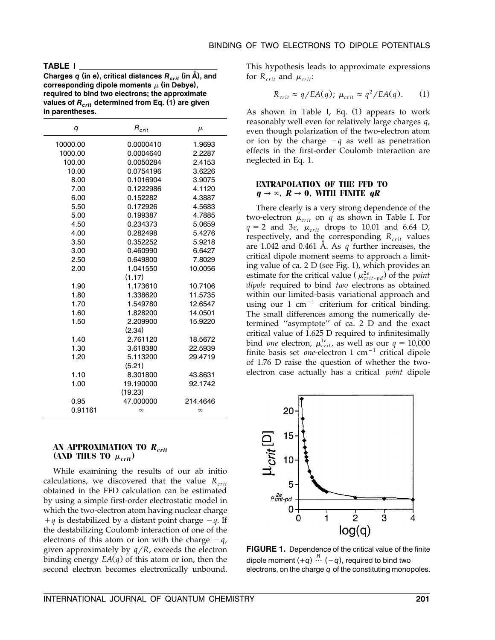#### **TABLE I**

Charges  $q$  (in e), critical distances  $R_{crit}$  (in  $\AA$ ), and corresponding dipole moments  $\mu$  (in Debye), **required to bind two electrons; the approximate** values of  $R_{crit}$  determined from Eq. (1) are given **in parentheses.**

| q        | $R_{crit}$ | $\mu$    |
|----------|------------|----------|
| 10000.00 | 0.0000410  | 1.9693   |
| 1000.00  | 0.0004640  | 2.2287   |
| 100.00   | 0.0050284  | 2.4153   |
| 10.00    | 0.0754196  | 3.6226   |
| 8.00     | 0.1016904  | 3.9075   |
| 7.00     | 0.1222986  | 4.1120   |
| 6.00     | 0.152282   | 4.3887   |
| 5.50     | 0.172926   | 4.5683   |
| 5.00     | 0.199387   | 4.7885   |
| 4.50     | 0.234373   | 5.0659   |
| 4.00     | 0.282498   | 5.4276   |
| 3.50     | 0.352252   | 5.9218   |
| 3.00     | 0.460990   | 6.6427   |
| 2.50     | 0.649800   | 7.8029   |
| 2.00     | 1.041550   | 10.0056  |
|          | (1.17)     |          |
| 1.90     | 1.173610   | 10.7106  |
| 1.80     | 1.338620   | 11.5735  |
| 1.70     | 1.549780   | 12.6547  |
| 1.60     | 1.828200   | 14.0501  |
| 1.50     | 2.209900   | 15.9220  |
|          | (2.34)     |          |
| 1.40     | 2.761120   | 18.5672  |
| 1.30     | 3.618380   | 22.5939  |
| 1.20     | 5.113200   | 29.4719  |
|          | (5.21)     |          |
| 1.10     | 8.301800   | 43.8631  |
| 1.00     | 19.190000  | 92.1742  |
|          | (19.23)    |          |
| 0.95     | 47.000000  | 214.4646 |
| 0.91161  | $\infty$   | $\infty$ |

#### **AN APPROXIMATION TO <sup>R</sup>crit (AND THUS TO**  $\mu_{crit}$ )

While examining the results of our ab initio calculations, we discovered that the value  $R_{crit}$ obtained in the FFD calculation can be estimated by using a simple first-order electrostatic model in which the two-electron atom having nuclear charge  $+q$  is destabilized by a distant point charge  $-q$ . If the destabilizing Coulomb interaction of one of the electrons of this atom or ion with the charge  $-q$ , given approximately by  $q/R$ , exceeds the electron binding energy  $EA(q)$  of this atom or ion, then the second electron becomes electronically unbound.

This hypothesis leads to approximate expressions for  $R_{crit}$  and  $\mu_{crit}$ :

$$
R_{crit} \approx q/EA(q); \ \mu_{crit} \approx q^2/EA(q). \tag{1}
$$

As shown in Table I, Eq.  $(1)$  appears to work reasonably well even for relatively large charges *q*, even though polarization of the two-electron atom or ion by the charge  $-q$  as well as penetration effects in the first-order Coulomb interaction are neglected in Eq. 1.

#### **EXTRAPOLATION OF THE FFD TO**  $q \rightarrow \infty$ ,  $R \rightarrow 0$ , WITH FINITE  $qR$

There clearly is a very strong dependence of the two-electron  $\mu_{crit}$  on *q* as shown in Table I. For  $q = 2$  and 3*e*,  $\mu_{crit}$  drops to 10.01 and 6.64 D, respectively, and the corresponding  $R_{crit}$  values are 1.042 and 0.461  $\AA$ . As  $q$  further increases, the critical dipole moment seems to approach a limiting value of ca.  $2 D$  (see Fig. 1), which provides an estimate for the critical value ( $\mu_{crit \text{-} pd}^{2e}$ ) of the *point dipole* required to bind *two* electrons as obtained within our limited-basis variational approach and using our 1  $cm^{-1}$  criterium for critical binding. The small differences among the numerically determined ''asymptote'' of ca. 2 D and the exact critical value of 1.625 D required to infinitesimally bind *one* electron,  $\mu_{crit}^{1e}$ , as well as our  $q = 10,000$ finite basis set *one*-electron  $1 \text{ cm}^{-1}$  critical dipole of 1.76 D raise the question of whether the twoelectron case actually has a critical *point* dipole



**FIGURE 1.** Dependence of the critical value of the finite dipole moment  $(+q) \stackrel{R}{\cdots} (-q)$ , required to bind two electrons, on the charge *q* of the constituting monopoles.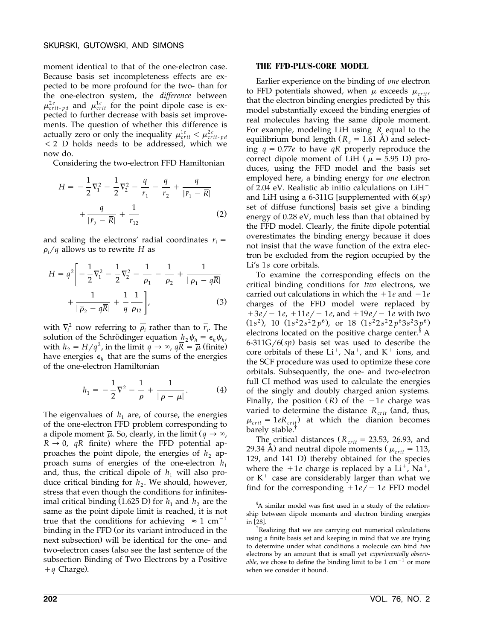moment identical to that of the one-electron case. Because basis set incompleteness effects are expected to be more profound for the two- than for the one-electron system, the *difference* between  $\mu_{crit\text{-}pd}^{2e}$  and  $\mu_{crit}^{1e}$  for the point dipole case is expected to further decrease with basis set improvements. The question of whether this difference is actually zero or only the inequality  $\mu_{crit}^{1e} < \mu_{crit-pd}^{2e}$  $<$  2 D holds needs to be addressed, which we now do.

Considering the two-electron FFD Hamiltonian

$$
H = -\frac{1}{2}\nabla_1^2 - \frac{1}{2}\nabla_2^2 - \frac{q}{r_1} - \frac{q}{r_2} + \frac{q}{|\bar{r}_1 - \bar{R}|} + \frac{q}{|\bar{r}_2 - \bar{R}|} + \frac{1}{r_{12}}
$$
 (2)

and scaling the electrons' radial coordinates  $r_i =$  $\rho$ <sub>*i*</sub> /*q* allows us to rewrite *H* as

$$
H = q^{2} \left[ -\frac{1}{2} \nabla_{1}^{2} - \frac{1}{2} \nabla_{2}^{2} - \frac{1}{\rho_{1}} - \frac{1}{\rho_{2}} + \frac{1}{|\bar{\rho}_{1} - q\bar{R}|} + \frac{1}{|\bar{\rho}_{2} - q\bar{R}|} + \frac{1}{q} \frac{1}{\rho_{12}} \right],
$$
\n(3)

with  $\nabla_i^2$  now referring to  $\rho_i$  rather than to  $\overline{r_i}$ . The solution of the Schrödinger equation  $h_2 \psi_h = \epsilon_h \psi_h$ , with  $h_2 = H/q^2$ , in the limit  $q \to \infty$ ,  $q\overline{R} = \overline{\mu}$  (finite) have energies  $\epsilon_{h}$  that are the sums of the energies of the one-electron Hamiltonian

$$
h_1 = -\frac{1}{2}\nabla^2 - \frac{1}{\rho} + \frac{1}{|\bar{\rho} - \bar{\mu}|}.
$$
 (4)

The eigenvalues of  $h_1$  are, of course, the energies of the one-electron FFD problem corresponding to a dipole moment  $\overline{\mu}$ . So, clearly, in the limit  $(q \rightarrow \infty)$ ,  $R \rightarrow 0$ , *qR* finite) where the FFD potential approaches the point dipole, the energies of  $h_2$  approach sums of energies of the one-electron  $h_1$ and, thus, the critical dipole of  $h_1$  will also produce critical binding for *h*<sub>2</sub>. We should, however, stress that even though the conditions for infinitesimal critical binding (1.625 D) for  $h_1$  and  $h_2$  are the same as the point dipole limit is reached, it is not true that the conditions for achieving  $\approx 1$  cm<sup>-1</sup> binding in the FFD (or its variant introduced in the next subsection) will be identical for the one- and two-electron cases (also see the last sentence of the subsection Binding of Two Electrons by a Positive  $+q$  Charge).

#### **THE FFD-PLUS-CORE MODEL**

Earlier experience on the binding of *one* electron to FFD potentials showed, when  $\mu$  exceeds  $\mu_{crit}$ , that the electron binding energies predicted by this model substantially exceed the binding energies of real molecules having the same dipole moment. For example, modeling LiH using *R* equal to the equilibrium bond length  $(R_e = 1.61 \text{ Å})$  and selecting  $q = 0.77e$  to have  $qR$  properly reproduce the correct dipole moment of LiH ( $\mu$  = 5.95 D) produces, using the FFD model and the basis set employed here, a binding energy for *one* electron of 2.04 eV. Realistic ab initio calculations on  $LiH^$ and LiH using a 6-311G [supplemented with  $6 (sp)$ set of diffuse functions] basis set give a binding energy of 0.28 eV, much less than that obtained by the FFD model. Clearly, the finite dipole potential overestimates the binding energy because it does not insist that the wave function of the extra electron be excluded from the region occupied by the Li's 1*s* core orbitals.

To examine the corresponding effects on the critical binding conditions for *two* electrons, we carried out calculations in which the  $+1e$  and  $-1e$ charges of the FFD model were replaced by  $+3e/-1e$ ,  $+11e/-1e$ , and  $+19e/-1e$  with two  $(1s^2)$ , 10  $(1s^2 2s^2 2p^6)$ , or 18  $(1s^2 2s^2 2p^6 3s^2 3p^6)$ electrons located on the positive charge center. § A  $6-311G/6(sp)$  basis set was used to describe the core orbitals of these  $Li^+$ , Na<sup>+</sup>, and K<sup>+</sup> ions, and the SCF procedure was used to optimize these core orbitals. Subsequently, the one- and two-electron full CI method was used to calculate the energies of the singly and doubly charged anion systems. Finally, the position  $(R)$  of the  $-1e$  charge was varied to determine the distance  $R_{crit}$  (and, thus,  $\mu_{crit} = 1eR_{crit}$  at which the dianion becomes barely stable. †

The critical distances  $(R_{crit} = 23.53, 26.93, \text{ and})$ 29.34 A) and neutral dipole moments  $(\mu_{crit} = 113,$ 129, and 141 D) thereby obtained for the species where the  $+1e$  charge is replaced by a Li<sup>+</sup>, Na<sup>+</sup>, or  $K^+$  case are considerably larger than what we find for the corresponding  $+1e/- 1e$  FFD model

§ A similar model was first used in a study of the relationship between dipole moments and electron binding energies in [28].

Realizing that we are carrying out numerical calculations using a finite basis set and keeping in mind that we are trying to determine under what conditions a molecule can bind *two* electrons by an amount that is small yet *experimentally observable*, we chose to define the binding limit to be  $1 \text{ cm}^{-1}$  or more when we consider it bound.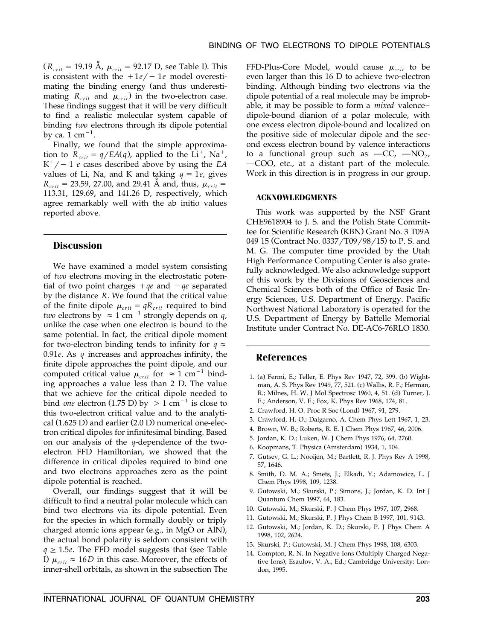$(R_{crit} = 19.19 \text{ Å}, \mu_{crit} = 92.17 \text{ D}, \text{see Table I}.$  This is consistent with the  $+1e/-1e$  model overestimating the binding energy (and thus underestimating  $R_{crit}$  and  $\mu_{crit}$ ) in the two-electron case. These findings suggest that it will be very difficult to find a realistic molecular system capable of binding *two* electrons through its dipole potential by ca.  $1 \text{ cm}^{-1}$ .

Finally, we found that the simple approximation to  $R_{crit} = q/EA(q)$ , applied to the Li<sup>+</sup>, Na<sup>+</sup>,  $K^+/- 1$  *e* cases described above by using the *EA* values of Li, Na, and K and taking  $q = 1e$ , gives  $R_{crit}$  = 23.59, 27.00, and 29.41 Å and, thus,  $\mu_{crit}$  = 113.31, 129.69, and 141.26 D, respectively, which agree remarkably well with the ab initio values reported above.

#### **Discussion**

We have examined a model system consisting of *two* electrons moving in the electrostatic potential of two point charges  $+qe$  and  $-qe$  separated by the distance *R*. We found that the critical value of the finite dipole  $\mu_{crit} = qR_{crit}$  required to bind *two* electrons by  $\approx 1$  cm<sup>-1</sup> strongly depends on *q*, unlike the case when one electron is bound to the same potential. In fact, the critical dipole moment for two-electron binding tends to infinity for  $q \approx$ 0.91*e*. As *q* increases and approaches infinity, the finite dipole approaches the point dipole, and our computed critical value  $\mu_{crit}$  for  $\approx 1$  cm<sup>-1</sup> binding approaches a value less than 2 D. The value that we achieve for the critical dipole needed to bind *one* electron (1.75 D) by  $> 1 \text{ cm}^{-1}$  is close to this two-electron critical value and to the analytical  $(1.625 \text{ D})$  and earlier  $(2.0 \text{ D})$  numerical one-electron critical dipoles for infinitesimal binding. Based on our analysis of the *q*-dependence of the twoelectron FFD Hamiltonian, we showed that the difference in critical dipoles required to bind one and two electrons approaches zero as the point dipole potential is reached.

Overall, our findings suggest that it will be difficult to find a neutral polar molecule which can bind two electrons via its dipole potential. Even for the species in which formally doubly or triply charged atomic ions appear (e.g., in MgO or AlN), the actual bond polarity is seldom consistent with  $q \geq 1.5e$ . The FFD model suggests that (see Table I)  $\mu_{crit} \approx 16D$  in this case. Moreover, the effects of inner-shell orbitals, as shown in the subsection The

FFD-Plus-Core Model, would cause  $\mu_{crit}$  to be even larger than this 16 D to achieve two-electron binding. Although binding two electrons via the dipole potential of a real molecule may be improbable, it may be possible to form a *mixed* valencedipole-bound dianion of a polar molecule, with one excess electron dipole-bound and localized on the positive side of molecular dipole and the second excess electron bound by valence interactions to a functional group such as  $-CC$ ,  $-NO_2$ , —COO, etc., at a distant part of the molecule. Work in this direction is in progress in our group.

#### **ACKNOWLEDGMENTS**

This work was supported by the NSF Grant CHE9618904 to J. S. and the Polish State Committee for Scientific Research (KBN) Grant No. 3 T09A 049 15 (Contract No. 0337/T09/98/15) to P. S. and M. G. The computer time provided by the Utah High Performance Computing Center is also gratefully acknowledged. We also acknowledge support of this work by the Divisions of Geosciences and Chemical Sciences both of the Office of Basic Energy Sciences, U.S. Department of Energy. Pacific Northwest National Laboratory is operated for the U.S. Department of Energy by Battelle Memorial Institute under Contract No. DE-AC6-76RLO 1830.

#### **References**

- 1. (a) Fermi, E.; Teller, E. Phys Rev 1947, 72, 399. (b) Wightman, A. S. Phys Rev 1949, 77, 521. (c) Wallis, R. F.; Herman, R.; Milnes, H. W. J Mol Spectrosc 1960, 4, 51. (d) Turner, J. E.; Anderson, V. E.; Fox, K. Phys Rev 1968, 174, 81.
- 2. Crawford, H. O. Proc R Soc (Lond) 1967, 91, 279.
- 3. Crawford, H. O.; Dalgarno, A. Chem Phys Lett 1967, 1, 23.
- 4. Brown, W. B.; Roberts, R. E. J Chem Phys 1967, 46, 2006.
- 5. Jordan, K. D.; Luken, W. J Chem Phys 1976, 64, 2760.
- 6. Koopmans, T. Physica (Amsterdam) 1934, 1, 104.
- 7. Gutsev, G. L.; Nooijen, M.; Bartlett, R. J. Phys Rev A 1998, 57, 1646.
- 8. Smith, D. M. A.; Smets, J.; Elkadi, Y.; Adamowicz, L. J Chem Phys 1998, 109, 1238.
- 9. Gutowski, M.; Skurski, P.; Simons, J.; Jordan, K. D. Int J Quantum Chem 1997, 64, 183.
- 10. Gutowski, M.; Skurski, P. J Chem Phys 1997, 107, 2968.
- 11. Gutowski, M.; Skurski, P. J Phys Chem B 1997, 101, 9143.
- 12. Gutowski, M.; Jordan, K. D.; Skurski, P. J Phys Chem A 1998, 102, 2624.
- 13. Skurski, P.; Gutowski, M. J Chem Phys 1998, 108, 6303.
- 14. Compton, R. N. In Negative Ions (Multiply Charged Negative Ions); Esaulov, V. A., Ed.; Cambridge University: London, 1995.